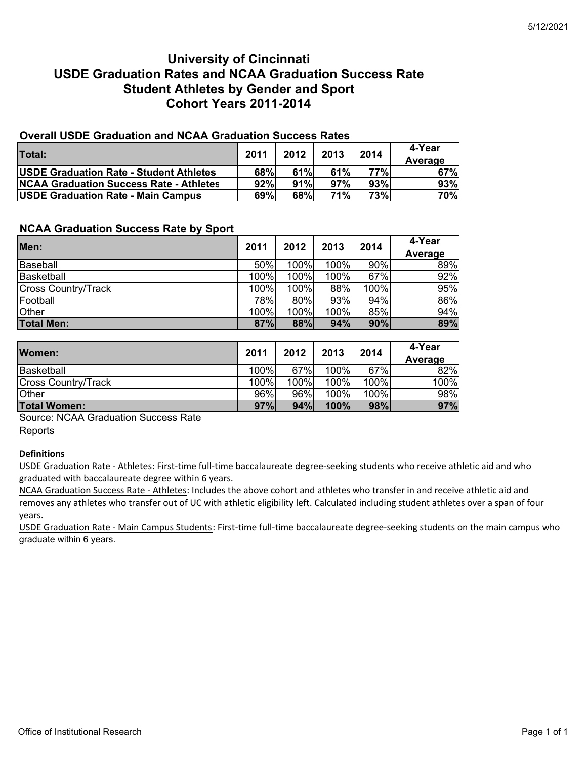# **University of Cincinnati USDE Graduation Rates and NCAA Graduation Success Rate Student Athletes by Gender and Sport Cohort Years 2011-2014**

## **Overall USDE Graduation and NCAA Graduation Success Rates**

| <b>Total:</b>                                  | 2011 | 2012 | 2013 | 2014 | 4-Year<br>Average |
|------------------------------------------------|------|------|------|------|-------------------|
| <b>USDE Graduation Rate - Student Athletes</b> | 68%  | 61%  | 61%  | 77%I | 67%               |
| <b>NCAA Graduation Success Rate - Athletes</b> | 92%  | 91%  | 97%  | 93%  | <b>93%</b>        |
| <b>USDE Graduation Rate - Main Campus</b>      | 69%  | 68%  | 71%  | 73%  | <b>70%</b>        |

### **NCAA Graduation Success Rate by Sport**

| Men:                       | 2011 | 2012 | 2013 | 2014 | 4-Year  |
|----------------------------|------|------|------|------|---------|
|                            |      |      |      |      | Average |
| Baseball                   | 50%  | 100% | 100% | 90%  | 89%     |
| Basketball                 | 100% | 100% | 100% | 67%  | 92%     |
| <b>Cross Country/Track</b> | 100% | 100% | 88%  | 100% | 95%     |
| Football                   | 78%  | 80%  | 93%  | 94%  | 86%     |
| <b>Other</b>               | 100% | 100% | 100% | 85%  | 94%     |
| <b>Total Men:</b>          | 87%  | 88%  | 94%  | 90%  | 89%     |

| Women:                     | 2011 | 2012 | 2013  | 2014 | 4-Year<br>Average |
|----------------------------|------|------|-------|------|-------------------|
| Basketball                 | 100% | 67%  | 100%  | 67%  | 82%               |
| <b>Cross Country/Track</b> | 100% | 100% | 100%  | 100% | 100%              |
| <b>Other</b>               | 96%  | 96%  | 100%। | 100% | 98%               |
| <b>Total Women:</b>        | 97%  | 94%  | 100%  | 98%  | 97%               |

Source: NCAA Graduation Success Rate **Reports** 

#### **Definitions**

USDE Graduation Rate ‐ Athletes: First‐time full‐time baccalaureate degree‐seeking students who receive athletic aid and who graduated with baccalaureate degree within 6 years.

NCAA Graduation Success Rate ‐ Athletes: Includes the above cohort and athletes who transfer in and receive athletic aid and removes any athletes who transfer out of UC with athletic eligibility left. Calculated including student athletes over a span of four years.

USDE Graduation Rate - Main Campus Students: First-time full-time baccalaureate degree-seeking students on the main campus who graduate within 6 years.